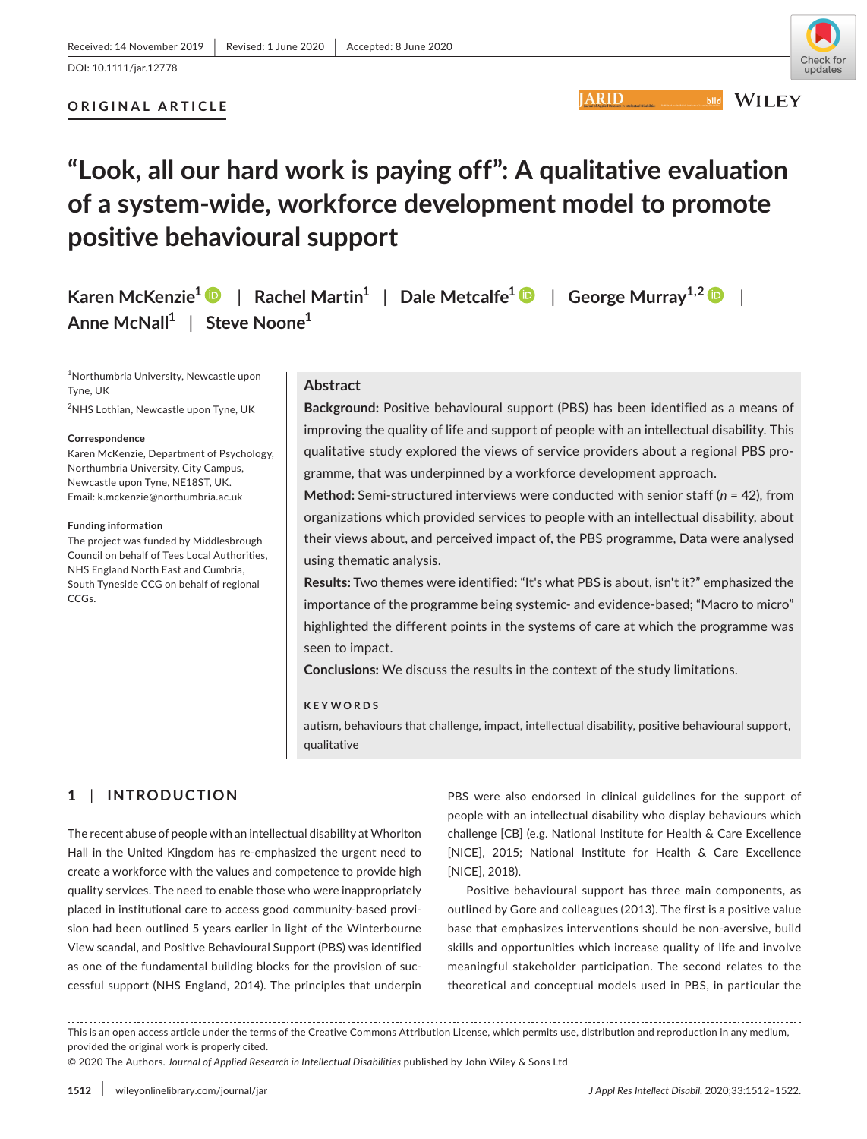# undates

# **ORIGINAL ARTICLE**

**ARID** 

**WILEY** 

# **"Look, all our hard work is paying off": A qualitative evaluation of a system-wide, workforce development model to promote positive behavioural support**

**Karen McKenzie<sup>1</sup>** | **Rachel Martin<sup>1</sup>** | **Dale Metcalfe[1](https://orcid.org/0000-0001-8146-0233)** | **George Murray1,2** | **Anne McNall<sup>1</sup>** | **Steve Noone<sup>1</sup>**

1 Northumbria University, Newcastle upon Tyne, UK

<sup>2</sup>NHS Lothian, Newcastle upon Tyne, UK

#### **Correspondence**

Karen McKenzie, Department of Psychology, Northumbria University, City Campus, Newcastle upon Tyne, NE18ST, UK. Email: [k.mckenzie@northumbria.ac.uk](mailto:k.mckenzie@northumbria.ac.uk)

#### **Funding information**

The project was funded by Middlesbrough Council on behalf of Tees Local Authorities, NHS England North East and Cumbria, South Tyneside CCG on behalf of regional CCGs.

#### **Abstract**

**Background:** Positive behavioural support (PBS) has been identified as a means of improving the quality of life and support of people with an intellectual disability. This qualitative study explored the views of service providers about a regional PBS programme, that was underpinned by a workforce development approach.

**Method:** Semi-structured interviews were conducted with senior staff (*n* = 42), from organizations which provided services to people with an intellectual disability, about their views about, and perceived impact of, the PBS programme, Data were analysed using thematic analysis.

**Results:** Two themes were identified: "It's what PBS is about, isn't it?" emphasized the importance of the programme being systemic- and evidence-based; "Macro to micro" highlighted the different points in the systems of care at which the programme was seen to impact.

**Conclusions:** We discuss the results in the context of the study limitations.

#### **KEYWORDS**

autism, behaviours that challenge, impact, intellectual disability, positive behavioural support, qualitative

# **1** | **INTRODUCTION**

The recent abuse of people with an intellectual disability at Whorlton Hall in the United Kingdom has re-emphasized the urgent need to create a workforce with the values and competence to provide high quality services. The need to enable those who were inappropriately placed in institutional care to access good community-based provision had been outlined 5 years earlier in light of the Winterbourne View scandal, and Positive Behavioural Support (PBS) was identified as one of the fundamental building blocks for the provision of successful support (NHS England, 2014). The principles that underpin

PBS were also endorsed in clinical guidelines for the support of people with an intellectual disability who display behaviours which challenge [CB] (e.g. National Institute for Health & Care Excellence [NICE], 2015; National Institute for Health & Care Excellence [NICE], 2018).

Positive behavioural support has three main components, as outlined by Gore and colleagues (2013). The first is a positive value base that emphasizes interventions should be non-aversive, build skills and opportunities which increase quality of life and involve meaningful stakeholder participation. The second relates to the theoretical and conceptual models used in PBS, in particular the

This is an open access article under the terms of the [Creative Commons Attribution](http://creativecommons.org/licenses/by/4.0/) License, which permits use, distribution and reproduction in any medium, provided the original work is properly cited.

© 2020 The Authors. *Journal of Applied Research in Intellectual Disabilities* published by John Wiley & Sons Ltd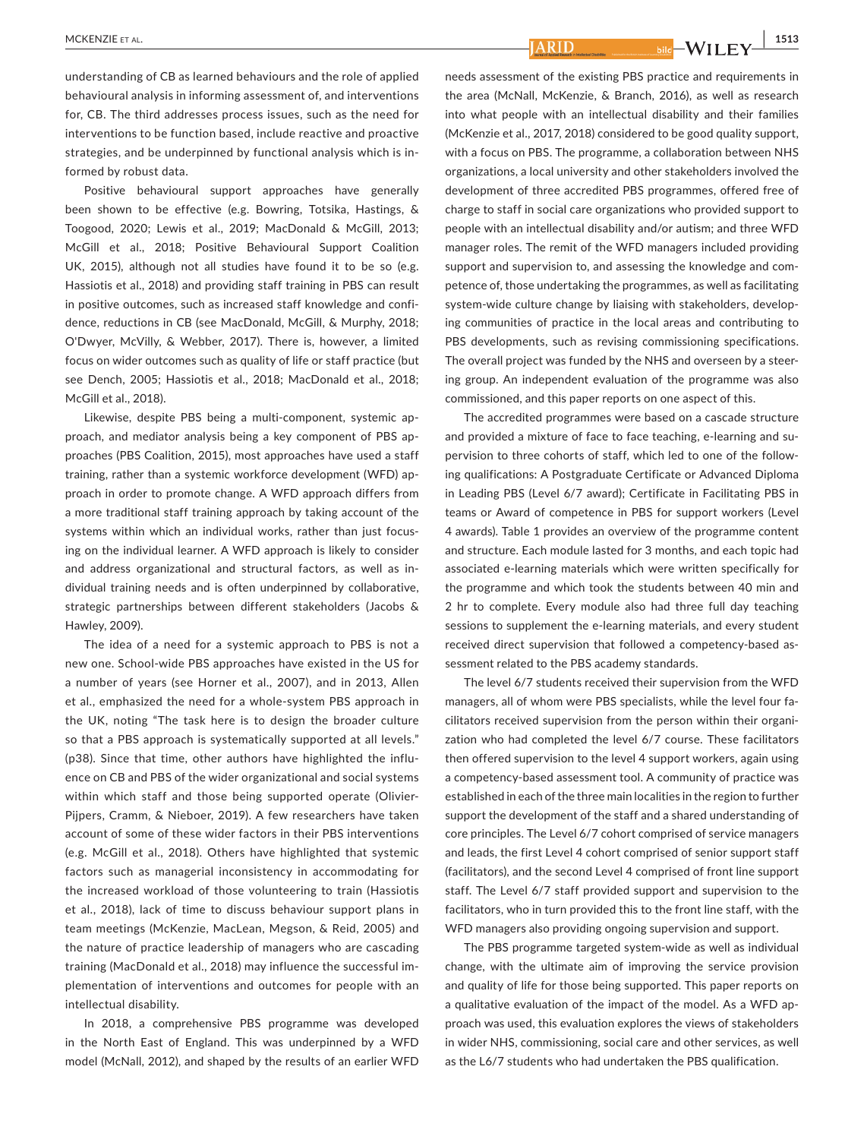**ARID** 

understanding of CB as learned behaviours and the role of applied behavioural analysis in informing assessment of, and interventions for, CB. The third addresses process issues, such as the need for interventions to be function based, include reactive and proactive strategies, and be underpinned by functional analysis which is informed by robust data.

Positive behavioural support approaches have generally been shown to be effective (e.g. Bowring, Totsika, Hastings, & Toogood, 2020; Lewis et al., 2019; MacDonald & McGill, 2013; McGill et al., 2018; Positive Behavioural Support Coalition UK, 2015), although not all studies have found it to be so (e.g. Hassiotis et al., 2018) and providing staff training in PBS can result in positive outcomes, such as increased staff knowledge and confidence, reductions in CB (see MacDonald, McGill, & Murphy, 2018; O'Dwyer, McVilly, & Webber, 2017). There is, however, a limited focus on wider outcomes such as quality of life or staff practice (but see Dench, 2005; Hassiotis et al., 2018; MacDonald et al., 2018; McGill et al., 2018).

Likewise, despite PBS being a multi-component, systemic approach, and mediator analysis being a key component of PBS approaches (PBS Coalition, 2015), most approaches have used a staff training, rather than a systemic workforce development (WFD) approach in order to promote change. A WFD approach differs from a more traditional staff training approach by taking account of the systems within which an individual works, rather than just focusing on the individual learner. A WFD approach is likely to consider and address organizational and structural factors, as well as individual training needs and is often underpinned by collaborative, strategic partnerships between different stakeholders (Jacobs & Hawley, 2009).

The idea of a need for a systemic approach to PBS is not a new one. School-wide PBS approaches have existed in the US for a number of years (see Horner et al., 2007), and in 2013, Allen et al., emphasized the need for a whole-system PBS approach in the UK, noting "The task here is to design the broader culture so that a PBS approach is systematically supported at all levels." (p38). Since that time, other authors have highlighted the influence on CB and PBS of the wider organizational and social systems within which staff and those being supported operate (Olivier-Pijpers, Cramm, & Nieboer, 2019). A few researchers have taken account of some of these wider factors in their PBS interventions (e.g. McGill et al., 2018). Others have highlighted that systemic factors such as managerial inconsistency in accommodating for the increased workload of those volunteering to train (Hassiotis et al., 2018), lack of time to discuss behaviour support plans in team meetings (McKenzie, MacLean, Megson, & Reid, 2005) and the nature of practice leadership of managers who are cascading training (MacDonald et al., 2018) may influence the successful implementation of interventions and outcomes for people with an intellectual disability.

In 2018, a comprehensive PBS programme was developed in the North East of England. This was underpinned by a WFD model (McNall, 2012), and shaped by the results of an earlier WFD needs assessment of the existing PBS practice and requirements in the area (McNall, McKenzie, & Branch, 2016), as well as research into what people with an intellectual disability and their families (McKenzie et al., 2017, 2018) considered to be good quality support, with a focus on PBS. The programme, a collaboration between NHS organizations, a local university and other stakeholders involved the development of three accredited PBS programmes, offered free of charge to staff in social care organizations who provided support to people with an intellectual disability and/or autism; and three WFD manager roles. The remit of the WFD managers included providing support and supervision to, and assessing the knowledge and competence of, those undertaking the programmes, as well as facilitating system-wide culture change by liaising with stakeholders, developing communities of practice in the local areas and contributing to PBS developments, such as revising commissioning specifications. The overall project was funded by the NHS and overseen by a steering group. An independent evaluation of the programme was also commissioned, and this paper reports on one aspect of this.

The accredited programmes were based on a cascade structure and provided a mixture of face to face teaching, e-learning and supervision to three cohorts of staff, which led to one of the following qualifications: A Postgraduate Certificate or Advanced Diploma in Leading PBS (Level 6/7 award); Certificate in Facilitating PBS in teams or Award of competence in PBS for support workers (Level 4 awards). Table 1 provides an overview of the programme content and structure. Each module lasted for 3 months, and each topic had associated e-learning materials which were written specifically for the programme and which took the students between 40 min and 2 hr to complete. Every module also had three full day teaching sessions to supplement the e-learning materials, and every student received direct supervision that followed a competency-based assessment related to the PBS academy standards.

The level 6/7 students received their supervision from the WFD managers, all of whom were PBS specialists, while the level four facilitators received supervision from the person within their organization who had completed the level 6/7 course. These facilitators then offered supervision to the level 4 support workers, again using a competency-based assessment tool. A community of practice was established in each of the three main localities in the region to further support the development of the staff and a shared understanding of core principles. The Level 6/7 cohort comprised of service managers and leads, the first Level 4 cohort comprised of senior support staff (facilitators), and the second Level 4 comprised of front line support staff. The Level 6/7 staff provided support and supervision to the facilitators, who in turn provided this to the front line staff, with the WFD managers also providing ongoing supervision and support.

The PBS programme targeted system-wide as well as individual change, with the ultimate aim of improving the service provision and quality of life for those being supported. This paper reports on a qualitative evaluation of the impact of the model. As a WFD approach was used, this evaluation explores the views of stakeholders in wider NHS, commissioning, social care and other services, as well as the L6/7 students who had undertaken the PBS qualification.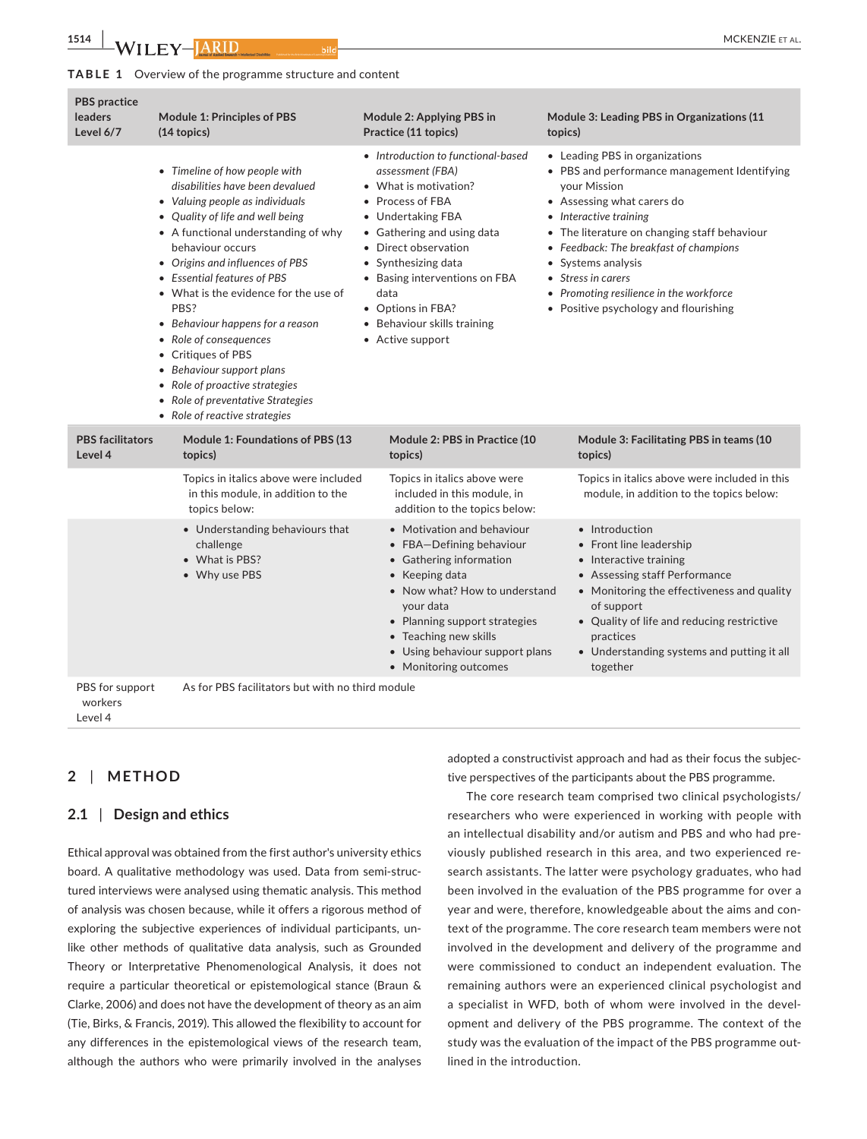| <b>PBS</b> practice<br>leaders<br>Level 6/7 | <b>Module 1: Principles of PBS</b><br>$(14$ topics)                                                                                                                                                                                                                                                                                                                                                                                                                                                                                            | Module 2: Applying PBS in<br>Practice (11 topics)                                                                                                                                                                                                                                                                      | Module 3: Leading PBS in Organizations (11<br>topics)                                                                                                                                                                                                                                                                                                                            |
|---------------------------------------------|------------------------------------------------------------------------------------------------------------------------------------------------------------------------------------------------------------------------------------------------------------------------------------------------------------------------------------------------------------------------------------------------------------------------------------------------------------------------------------------------------------------------------------------------|------------------------------------------------------------------------------------------------------------------------------------------------------------------------------------------------------------------------------------------------------------------------------------------------------------------------|----------------------------------------------------------------------------------------------------------------------------------------------------------------------------------------------------------------------------------------------------------------------------------------------------------------------------------------------------------------------------------|
|                                             | • Timeline of how people with<br>disabilities have been devalued<br>• Valuing people as individuals<br>• Quality of life and well being<br>• A functional understanding of why<br>behaviour occurs<br>• Origins and influences of PBS<br>• Essential features of PBS<br>• What is the evidence for the use of<br>PBS?<br>• Behaviour happens for a reason<br>• Role of consequences<br>• Critiques of PBS<br>• Behaviour support plans<br>• Role of proactive strategies<br>• Role of preventative Strategies<br>• Role of reactive strategies | • Introduction to functional-based<br>assessment (FBA)<br>• What is motivation?<br>• Process of FBA<br>• Undertaking FBA<br>• Gathering and using data<br>• Direct observation<br>• Synthesizing data<br>• Basing interventions on FBA<br>data<br>• Options in FBA?<br>• Behaviour skills training<br>• Active support | • Leading PBS in organizations<br>• PBS and performance management Identifying<br>vour Mission<br>• Assessing what carers do<br>• Interactive training<br>• The literature on changing staff behaviour<br>• Feedback: The breakfast of champions<br>• Systems analysis<br>• Stress in carers<br>• Promoting resilience in the workforce<br>• Positive psychology and flourishing |
| <b>PBS facilitators</b><br>Level 4          | <b>Module 1: Foundations of PBS (13)</b><br>topics)                                                                                                                                                                                                                                                                                                                                                                                                                                                                                            | Module 2: PBS in Practice (10<br>topics)                                                                                                                                                                                                                                                                               | Module 3: Facilitating PBS in teams (10<br>topics)                                                                                                                                                                                                                                                                                                                               |
|                                             | Topics in italics above were included<br>in this module, in addition to the<br>topics below:                                                                                                                                                                                                                                                                                                                                                                                                                                                   | Topics in italics above were<br>included in this module, in<br>addition to the topics below:                                                                                                                                                                                                                           | Topics in italics above were included in this<br>module, in addition to the topics below:                                                                                                                                                                                                                                                                                        |
|                                             | • Understanding behaviours that<br>challenge<br>• What is PBS?<br>• Why use PBS                                                                                                                                                                                                                                                                                                                                                                                                                                                                | • Motivation and behaviour<br>• FBA-Defining behaviour<br>• Gathering information<br>• Keeping data<br>• Now what? How to understand<br>your data<br>• Planning support strategies<br>• Teaching new skills<br>• Using behaviour support plans<br>• Monitoring outcomes                                                | • Introduction<br>• Front line leadership<br>• Interactive training<br>• Assessing staff Performance<br>• Monitoring the effectiveness and quality<br>of support<br>• Quality of life and reducing restrictive<br>practices<br>• Understanding systems and putting it all<br>together                                                                                            |
| PBS for support<br>workers<br>Level 4       | As for PBS facilitators but with no third module                                                                                                                                                                                                                                                                                                                                                                                                                                                                                               |                                                                                                                                                                                                                                                                                                                        |                                                                                                                                                                                                                                                                                                                                                                                  |

# **2** | **METHOD**

### **2.1** | **Design and ethics**

Ethical approval was obtained from the first author's university ethics board. A qualitative methodology was used. Data from semi-structured interviews were analysed using thematic analysis. This method of analysis was chosen because, while it offers a rigorous method of exploring the subjective experiences of individual participants, unlike other methods of qualitative data analysis, such as Grounded Theory or Interpretative Phenomenological Analysis, it does not require a particular theoretical or epistemological stance (Braun & Clarke, 2006) and does not have the development of theory as an aim (Tie, Birks, & Francis, 2019). This allowed the flexibility to account for any differences in the epistemological views of the research team, although the authors who were primarily involved in the analyses

adopted a constructivist approach and had as their focus the subjective perspectives of the participants about the PBS programme.

The core research team comprised two clinical psychologists/ researchers who were experienced in working with people with an intellectual disability and/or autism and PBS and who had previously published research in this area, and two experienced research assistants. The latter were psychology graduates, who had been involved in the evaluation of the PBS programme for over a year and were, therefore, knowledgeable about the aims and context of the programme. The core research team members were not involved in the development and delivery of the programme and were commissioned to conduct an independent evaluation. The remaining authors were an experienced clinical psychologist and a specialist in WFD, both of whom were involved in the development and delivery of the PBS programme. The context of the study was the evaluation of the impact of the PBS programme outlined in the introduction.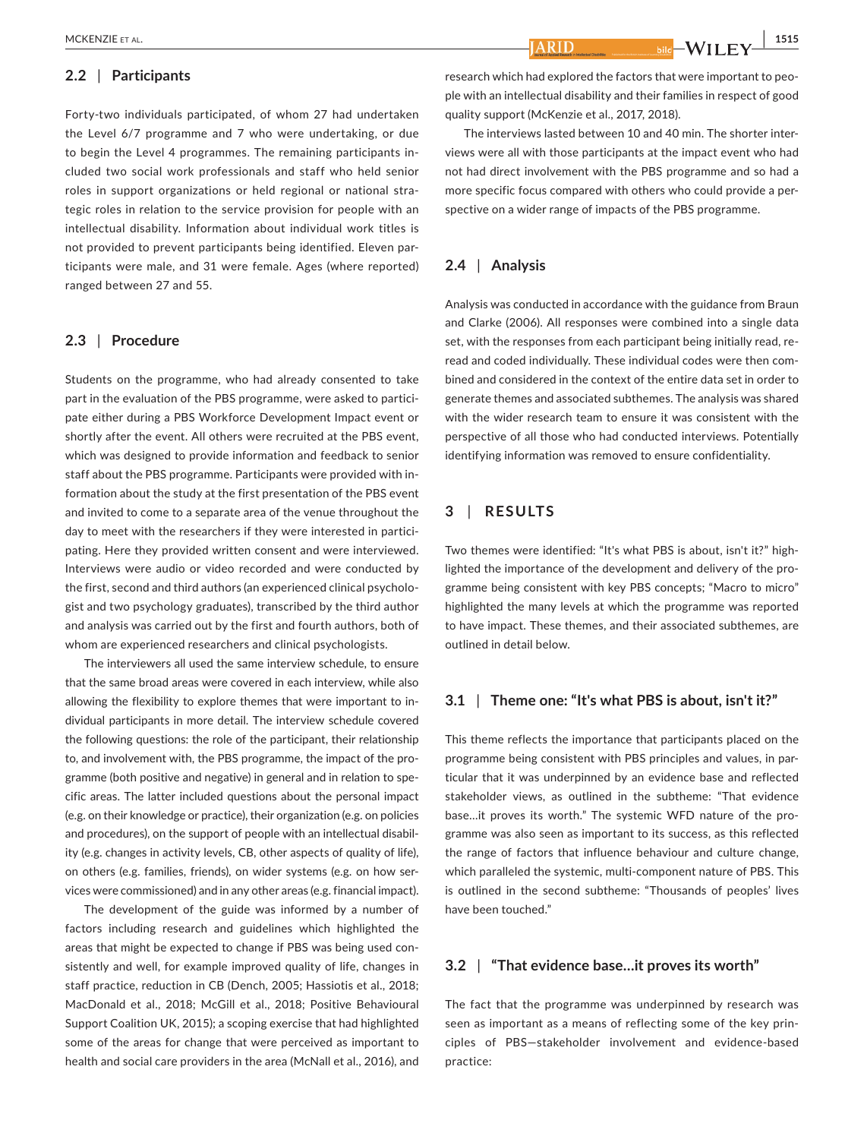#### **2.2** | **Participants**

Forty-two individuals participated, of whom 27 had undertaken the Level 6/7 programme and 7 who were undertaking, or due to begin the Level 4 programmes. The remaining participants included two social work professionals and staff who held senior roles in support organizations or held regional or national strategic roles in relation to the service provision for people with an intellectual disability. Information about individual work titles is not provided to prevent participants being identified. Eleven participants were male, and 31 were female. Ages (where reported) ranged between 27 and 55.

#### **2.3** | **Procedure**

Students on the programme, who had already consented to take part in the evaluation of the PBS programme, were asked to participate either during a PBS Workforce Development Impact event or shortly after the event. All others were recruited at the PBS event, which was designed to provide information and feedback to senior staff about the PBS programme. Participants were provided with information about the study at the first presentation of the PBS event and invited to come to a separate area of the venue throughout the day to meet with the researchers if they were interested in participating. Here they provided written consent and were interviewed. Interviews were audio or video recorded and were conducted by the first, second and third authors (an experienced clinical psychologist and two psychology graduates), transcribed by the third author and analysis was carried out by the first and fourth authors, both of whom are experienced researchers and clinical psychologists.

The interviewers all used the same interview schedule, to ensure that the same broad areas were covered in each interview, while also allowing the flexibility to explore themes that were important to individual participants in more detail. The interview schedule covered the following questions: the role of the participant, their relationship to, and involvement with, the PBS programme, the impact of the programme (both positive and negative) in general and in relation to specific areas. The latter included questions about the personal impact (e.g. on their knowledge or practice), their organization (e.g. on policies and procedures), on the support of people with an intellectual disability (e.g. changes in activity levels, CB, other aspects of quality of life), on others (e.g. families, friends), on wider systems (e.g. on how services were commissioned) and in any other areas (e.g. financial impact).

The development of the guide was informed by a number of factors including research and guidelines which highlighted the areas that might be expected to change if PBS was being used consistently and well, for example improved quality of life, changes in staff practice, reduction in CB (Dench, 2005; Hassiotis et al., 2018; MacDonald et al., 2018; McGill et al., 2018; Positive Behavioural Support Coalition UK, 2015); a scoping exercise that had highlighted some of the areas for change that were perceived as important to health and social care providers in the area (McNall et al., 2016), and **ARID** 

quality support (McKenzie et al., 2017, 2018). The interviews lasted between 10 and 40 min. The shorter interviews were all with those participants at the impact event who had not had direct involvement with the PBS programme and so had a more specific focus compared with others who could provide a per-

spective on a wider range of impacts of the PBS programme.

ple with an intellectual disability and their families in respect of good

#### **2.4** | **Analysis**

Analysis was conducted in accordance with the guidance from Braun and Clarke (2006). All responses were combined into a single data set, with the responses from each participant being initially read, reread and coded individually. These individual codes were then combined and considered in the context of the entire data set in order to generate themes and associated subthemes. The analysis was shared with the wider research team to ensure it was consistent with the perspective of all those who had conducted interviews. Potentially identifying information was removed to ensure confidentiality.

### **3** | **RESULTS**

Two themes were identified: "It's what PBS is about, isn't it?" highlighted the importance of the development and delivery of the programme being consistent with key PBS concepts; "Macro to micro" highlighted the many levels at which the programme was reported to have impact. These themes, and their associated subthemes, are outlined in detail below.

#### **3.1** | **Theme one: "It's what PBS is about, isn't it?"**

This theme reflects the importance that participants placed on the programme being consistent with PBS principles and values, in particular that it was underpinned by an evidence base and reflected stakeholder views, as outlined in the subtheme: "That evidence base…it proves its worth." The systemic WFD nature of the programme was also seen as important to its success, as this reflected the range of factors that influence behaviour and culture change, which paralleled the systemic, multi-component nature of PBS. This is outlined in the second subtheme: "Thousands of peoples' lives have been touched."

#### **3.2** | **"That evidence base…it proves its worth"**

The fact that the programme was underpinned by research was seen as important as a means of reflecting some of the key principles of PBS—stakeholder involvement and evidence-based practice: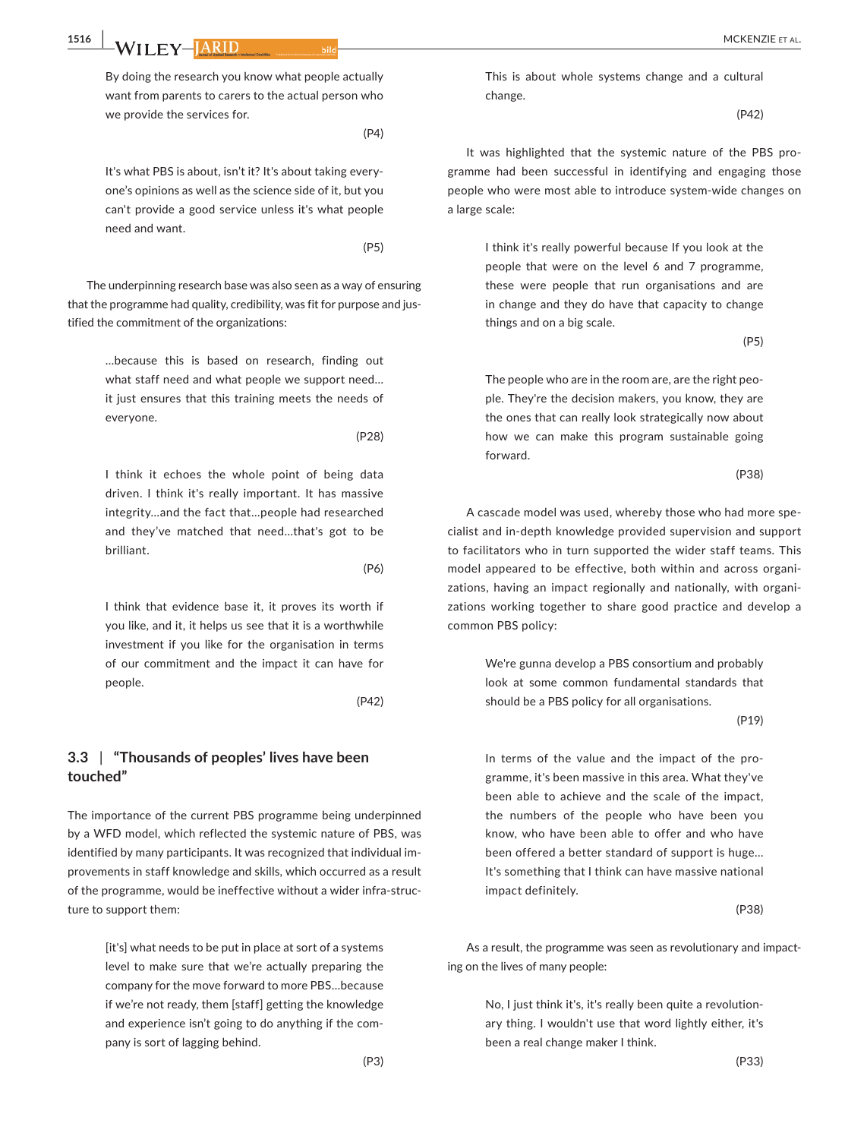**1516** WILEY-HARID

By doing the research you know what people actually want from parents to carers to the actual person who we provide the services for.

(P4)

Kil

It's what PBS is about, isn't it? It's about taking everyone's opinions as well as the science side of it, but you can't provide a good service unless it's what people need and want.

(P5)

The underpinning research base was also seen as a way of ensuring that the programme had quality, credibility, was fit for purpose and justified the commitment of the organizations:

> …because this is based on research, finding out what staff need and what people we support need… it just ensures that this training meets the needs of everyone.

> > (P28)

I think it echoes the whole point of being data driven. I think it's really important. It has massive integrity…and the fact that…people had researched and they've matched that need…that's got to be brilliant.

(P6)

I think that evidence base it, it proves its worth if you like, and it, it helps us see that it is a worthwhile investment if you like for the organisation in terms of our commitment and the impact it can have for people.

(P42)

# **3.3** | **"Thousands of peoples' lives have been touched"**

The importance of the current PBS programme being underpinned by a WFD model, which reflected the systemic nature of PBS, was identified by many participants. It was recognized that individual improvements in staff knowledge and skills, which occurred as a result of the programme, would be ineffective without a wider infra-structure to support them:

> [it's] what needs to be put in place at sort of a systems level to make sure that we're actually preparing the company for the move forward to more PBS…because if we're not ready, them [staff] getting the knowledge and experience isn't going to do anything if the company is sort of lagging behind.

This is about whole systems change and a cultural change.

(P42)

It was highlighted that the systemic nature of the PBS programme had been successful in identifying and engaging those people who were most able to introduce system-wide changes on a large scale:

> I think it's really powerful because If you look at the people that were on the level 6 and 7 programme, these were people that run organisations and are in change and they do have that capacity to change things and on a big scale.

> > (P5)

The people who are in the room are, are the right people. They're the decision makers, you know, they are the ones that can really look strategically now about how we can make this program sustainable going forward.

(P38)

A cascade model was used, whereby those who had more specialist and in-depth knowledge provided supervision and support to facilitators who in turn supported the wider staff teams. This model appeared to be effective, both within and across organizations, having an impact regionally and nationally, with organizations working together to share good practice and develop a common PBS policy:

> We're gunna develop a PBS consortium and probably look at some common fundamental standards that should be a PBS policy for all organisations.

> > (P19)

In terms of the value and the impact of the programme, it's been massive in this area. What they've been able to achieve and the scale of the impact, the numbers of the people who have been you know, who have been able to offer and who have been offered a better standard of support is huge… It's something that I think can have massive national impact definitely.

(P38)

As a result, the programme was seen as revolutionary and impacting on the lives of many people:

> No, I just think it's, it's really been quite a revolutionary thing. I wouldn't use that word lightly either, it's been a real change maker I think.

> > (P33)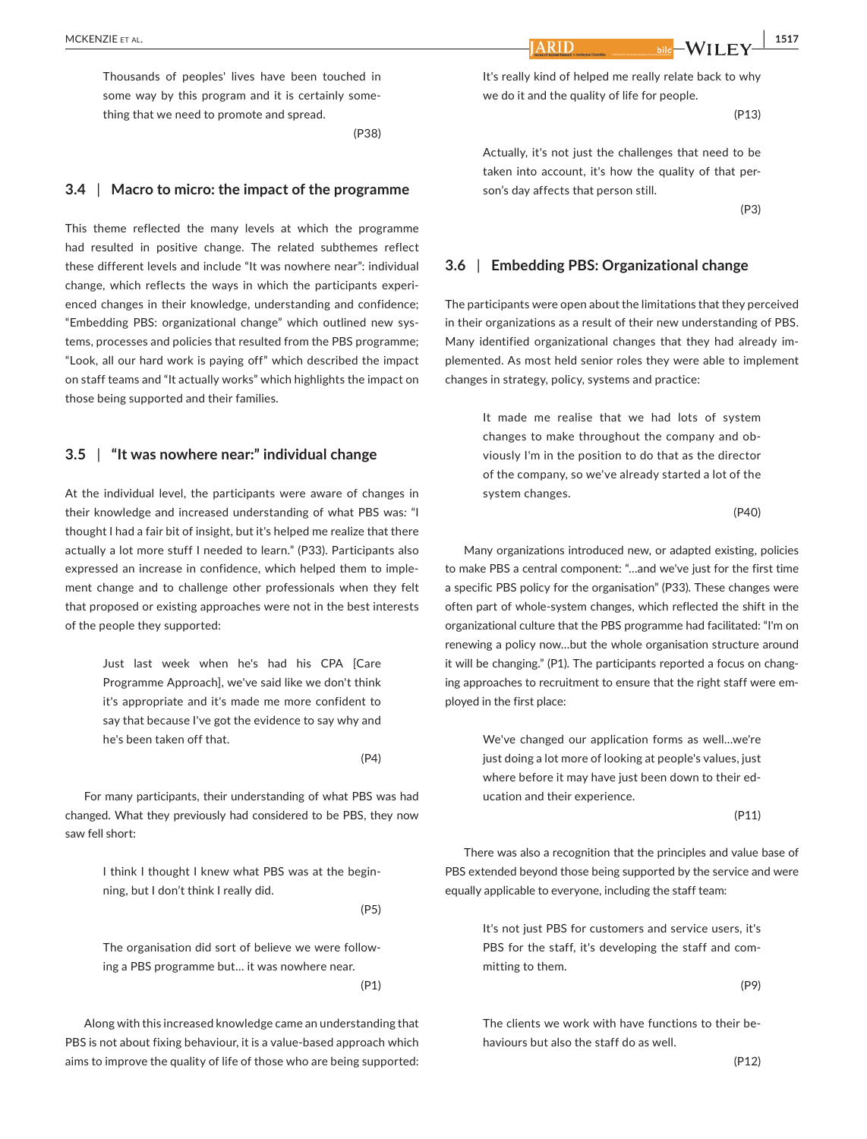Thousands of peoples' lives have been touched in some way by this program and it is certainly something that we need to promote and spread.

(P38)

#### **3.4** | **Macro to micro: the impact of the programme**

This theme reflected the many levels at which the programme had resulted in positive change. The related subthemes reflect these different levels and include "It was nowhere near": individual change, which reflects the ways in which the participants experienced changes in their knowledge, understanding and confidence; "Embedding PBS: organizational change" which outlined new systems, processes and policies that resulted from the PBS programme; "Look, all our hard work is paying off" which described the impact on staff teams and "It actually works" which highlights the impact on those being supported and their families.

## **3.5** | **"It was nowhere near:" individual change**

At the individual level, the participants were aware of changes in their knowledge and increased understanding of what PBS was*:* "I thought I had a fair bit of insight, but it's helped me realize that there actually a lot more stuff I needed to learn." (P33). Participants also expressed an increase in confidence, which helped them to implement change and to challenge other professionals when they felt that proposed or existing approaches were not in the best interests of the people they supported:

> Just last week when he's had his CPA [Care Programme Approach], we've said like we don't think it's appropriate and it's made me more confident to say that because I've got the evidence to say why and he's been taken off that.

> > (P4)

For many participants, their understanding of what PBS was had changed. What they previously had considered to be PBS, they now saw fell short:

> I think I thought I knew what PBS was at the beginning, but I don't think I really did.

> > (P5)

The organisation did sort of believe we were following a PBS programme but… it was nowhere near. (P1)

Along with this increased knowledge came an understanding that PBS is not about fixing behaviour, it is a value-based approach which aims to improve the quality of life of those who are being supported: It's really kind of helped me really relate back to why we do it and the quality of life for people.

**ARID** 

(P13)

Actually, it's not just the challenges that need to be taken into account, it's how the quality of that person's day affects that person still.

(P3)

#### **3.6** | **Embedding PBS: Organizational change**

The participants were open about the limitations that they perceived in their organizations as a result of their new understanding of PBS. Many identified organizational changes that they had already implemented. As most held senior roles they were able to implement changes in strategy, policy, systems and practice:

> It made me realise that we had lots of system changes to make throughout the company and obviously I'm in the position to do that as the director of the company, so we've already started a lot of the system changes.

> > (P40)

Many organizations introduced new, or adapted existing, policies to make PBS a central component: "…and we've just for the first time a specific PBS policy for the organisation" (P33). These changes were often part of whole-system changes, which reflected the shift in the organizational culture that the PBS programme had facilitated: "I'm on renewing a policy now…but the whole organisation structure around it will be changing." (P1). The participants reported a focus on changing approaches to recruitment to ensure that the right staff were employed in the first place:

> We've changed our application forms as well…we're just doing a lot more of looking at people's values, just where before it may have just been down to their education and their experience.

> > (P11)

There was also a recognition that the principles and value base of PBS extended beyond those being supported by the service and were equally applicable to everyone, including the staff team:

> It's not just PBS for customers and service users, it's PBS for the staff, it's developing the staff and committing to them.

> > (P9)

The clients we work with have functions to their behaviours but also the staff do as well.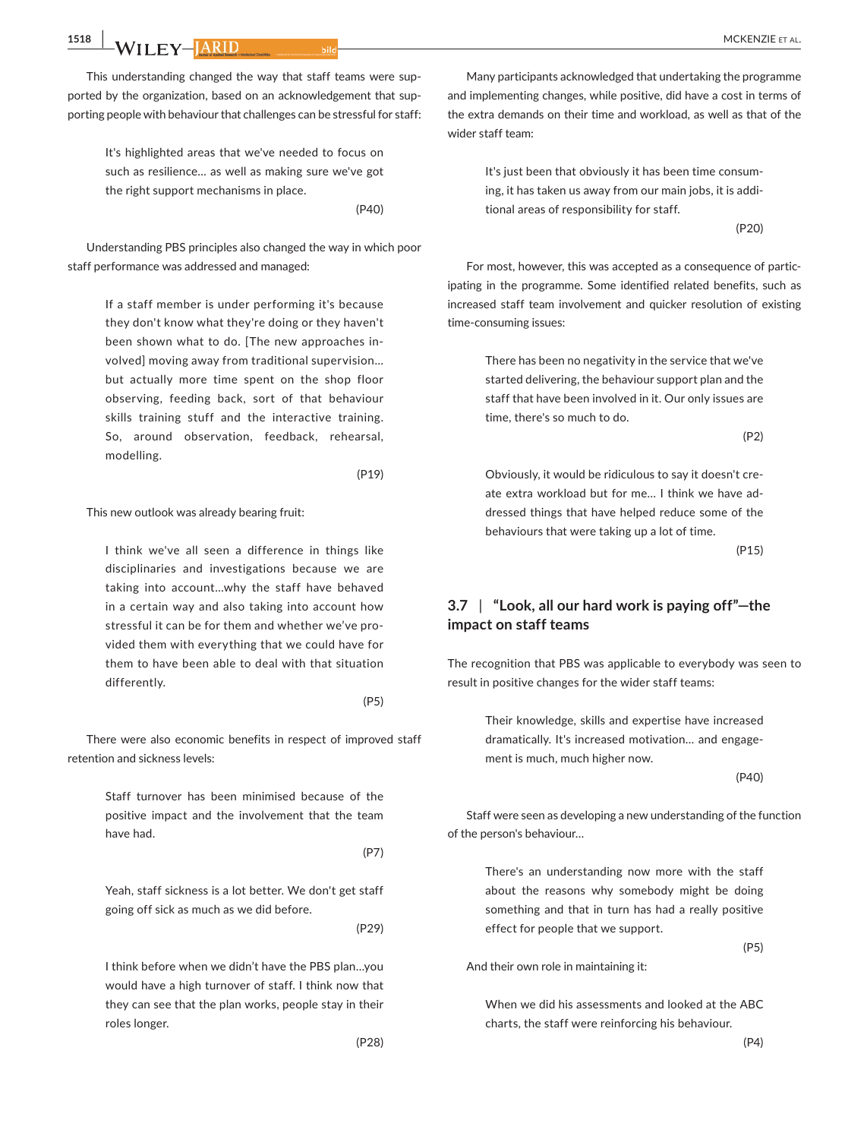**1518** WILEY-**RAND** 

This understanding changed the way that staff teams were supported by the organization, based on an acknowledgement that supporting people with behaviour that challenges can be stressful for staff:

> It's highlighted areas that we've needed to focus on such as resilience… as well as making sure we've got the right support mechanisms in place.

> > (P40)

Understanding PBS principles also changed the way in which poor staff performance was addressed and managed:

> If a staff member is under performing it's because they don't know what they're doing or they haven't been shown what to do. [The new approaches involved] moving away from traditional supervision… but actually more time spent on the shop floor observing, feeding back, sort of that behaviour skills training stuff and the interactive training. So, around observation, feedback, rehearsal, modelling.

> > (P19)

This new outlook was already bearing fruit:

I think we've all seen a difference in things like disciplinaries and investigations because we are taking into account…why the staff have behaved in a certain way and also taking into account how stressful it can be for them and whether we've provided them with everything that we could have for them to have been able to deal with that situation differently.

(P5)

There were also economic benefits in respect of improved staff retention and sickness levels:

> Staff turnover has been minimised because of the positive impact and the involvement that the team have had.

> > (P7)

Yeah, staff sickness is a lot better. We don't get staff going off sick as much as we did before.

(P29)

I think before when we didn't have the PBS plan…you would have a high turnover of staff. I think now that they can see that the plan works, people stay in their roles longer.

(P28)

Many participants acknowledged that undertaking the programme and implementing changes, while positive, did have a cost in terms of the extra demands on their time and workload, as well as that of the wider staff team:

> It's just been that obviously it has been time consuming, it has taken us away from our main jobs, it is additional areas of responsibility for staff.

> > (P20)

For most, however, this was accepted as a consequence of participating in the programme. Some identified related benefits, such as increased staff team involvement and quicker resolution of existing time-consuming issues:

> There has been no negativity in the service that we've started delivering, the behaviour support plan and the staff that have been involved in it. Our only issues are time, there's so much to do.

> > (P2)

Obviously, it would be ridiculous to say it doesn't create extra workload but for me… I think we have addressed things that have helped reduce some of the behaviours that were taking up a lot of time.

(P15)

# **3.7** | **"Look, all our hard work is paying off"—the impact on staff teams**

The recognition that PBS was applicable to everybody was seen to result in positive changes for the wider staff teams:

> Their knowledge, skills and expertise have increased dramatically. It's increased motivation… and engagement is much, much higher now.

> > (P40)

Staff were seen as developing a new understanding of the function of the person's behaviour…

> There's an understanding now more with the staff about the reasons why somebody might be doing something and that in turn has had a really positive effect for people that we support.

> > (P5)

And their own role in maintaining it:

When we did his assessments and looked at the ABC charts, the staff were reinforcing his behaviour.

(P4)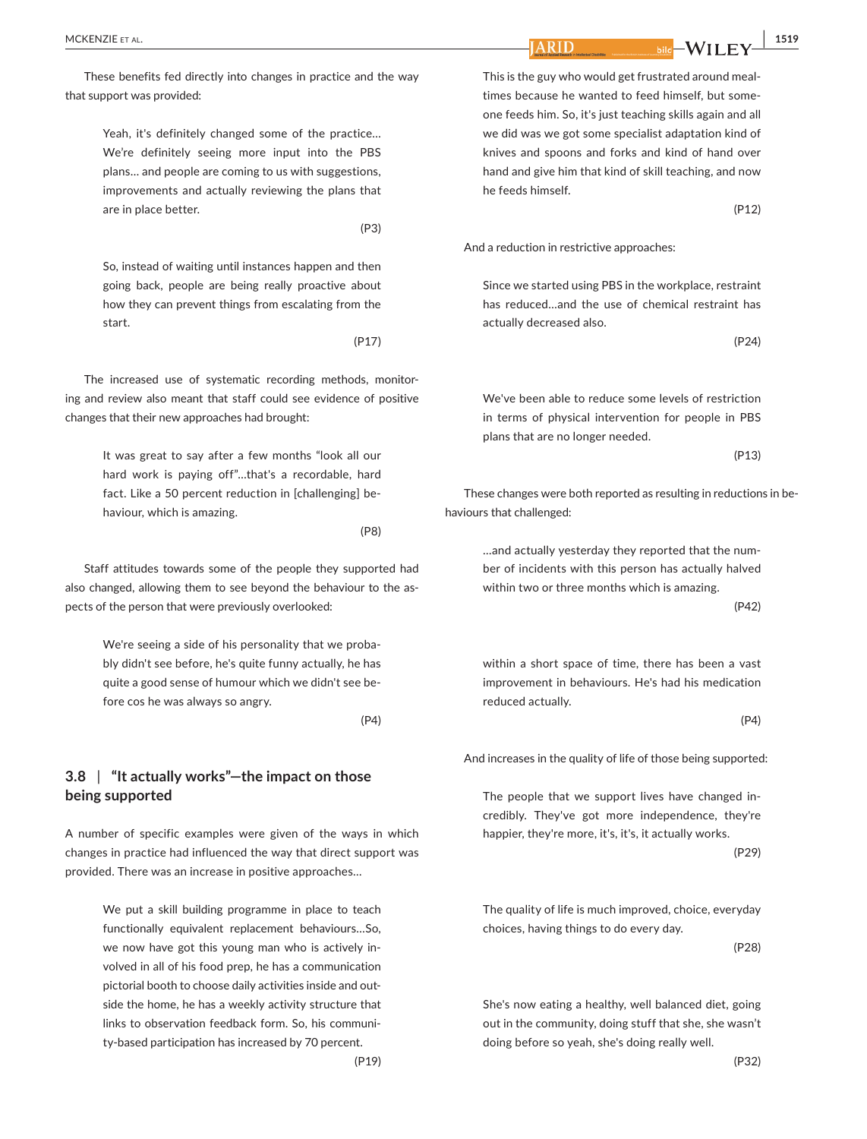These benefits fed directly into changes in practice and the way that support was provided:

> Yeah, it's definitely changed some of the practice… We're definitely seeing more input into the PBS plans… and people are coming to us with suggestions, improvements and actually reviewing the plans that are in place better.

> > (P3)

So, instead of waiting until instances happen and then going back, people are being really proactive about how they can prevent things from escalating from the start.

(P17)

The increased use of systematic recording methods, monitoring and review also meant that staff could see evidence of positive changes that their new approaches had brought:

> It was great to say after a few months "look all our hard work is paying off"…that's a recordable, hard fact. Like a 50 percent reduction in [challenging] behaviour, which is amazing.

> > (P8)

Staff attitudes towards some of the people they supported had also changed, allowing them to see beyond the behaviour to the aspects of the person that were previously overlooked:

> We're seeing a side of his personality that we probably didn't see before, he's quite funny actually, he has quite a good sense of humour which we didn't see before cos he was always so angry.

> > (P4)

# **3.8** | **"It actually works"—the impact on those being supported**

A number of specific examples were given of the ways in which changes in practice had influenced the way that direct support was provided. There was an increase in positive approaches…

> We put a skill building programme in place to teach functionally equivalent replacement behaviours…So, we now have got this young man who is actively involved in all of his food prep, he has a communication pictorial booth to choose daily activities inside and outside the home, he has a weekly activity structure that links to observation feedback form. So, his community-based participation has increased by 70 percent.

**ARID** 

This is the guy who would get frustrated around mealtimes because he wanted to feed himself, but someone feeds him. So, it's just teaching skills again and all we did was we got some specialist adaptation kind of knives and spoons and forks and kind of hand over hand and give him that kind of skill teaching, and now he feeds himself.

(P12)

And a reduction in restrictive approaches:

Since we started using PBS in the workplace, restraint has reduced…and the use of chemical restraint has actually decreased also.

(P24)

We've been able to reduce some levels of restriction in terms of physical intervention for people in PBS plans that are no longer needed.

(P13)

These changes were both reported as resulting in reductions in behaviours that challenged:

> …and actually yesterday they reported that the number of incidents with this person has actually halved within two or three months which is amazing.

> > (P42)

within a short space of time, there has been a vast improvement in behaviours. He's had his medication reduced actually.

(P4)

And increases in the quality of life of those being supported:

The people that we support lives have changed incredibly. They've got more independence, they're happier, they're more, it's, it's, it actually works.

(P29)

The quality of life is much improved, choice, everyday choices, having things to do every day.

(P28)

(P32)

She's now eating a healthy, well balanced diet, going out in the community, doing stuff that she, she wasn't doing before so yeah, she's doing really well.

 **| 1519**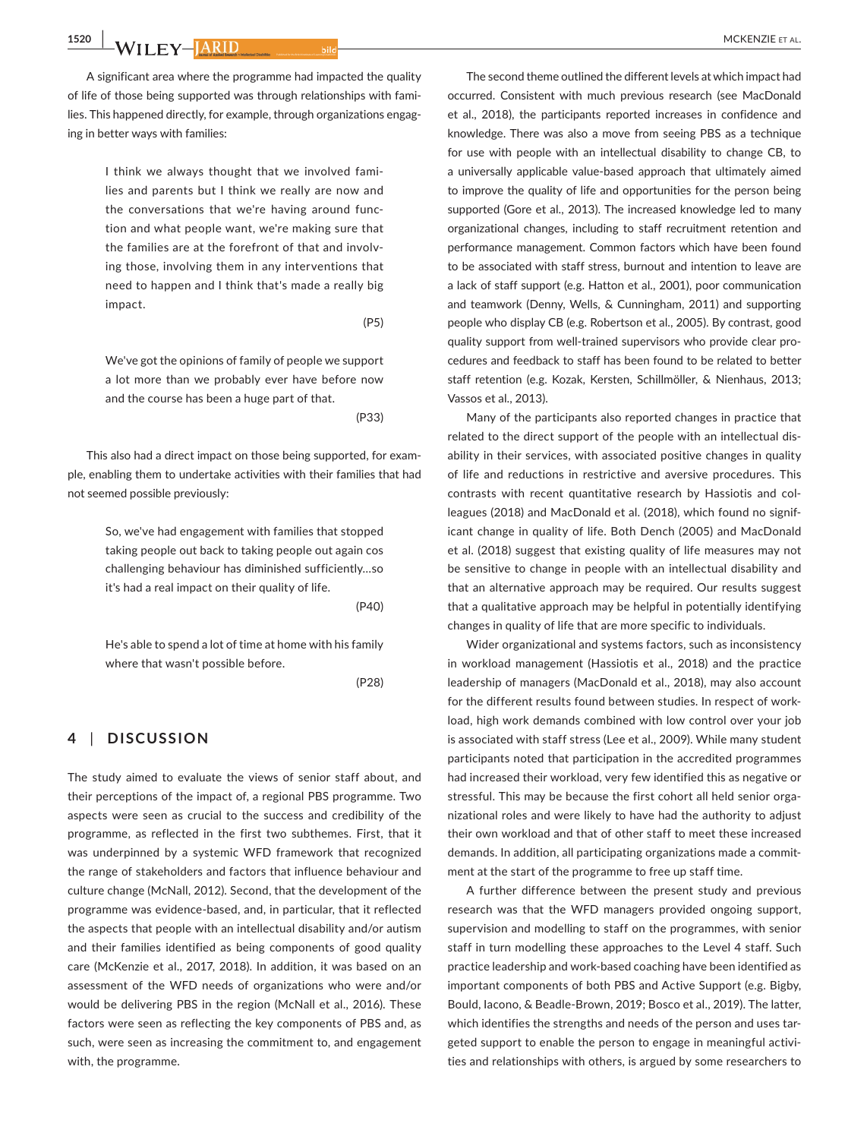**1520** WILEY-**RARID** 

A significant area where the programme had impacted the quality of life of those being supported was through relationships with families. This happened directly, for example, through organizations engaging in better ways with families:

Бil

I think we always thought that we involved families and parents but I think we really are now and the conversations that we're having around function and what people want, we're making sure that the families are at the forefront of that and involving those, involving them in any interventions that need to happen and I think that's made a really big impact.

(P5)

We've got the opinions of family of people we support a lot more than we probably ever have before now and the course has been a huge part of that.

(P33)

This also had a direct impact on those being supported, for example, enabling them to undertake activities with their families that had not seemed possible previously:

> So, we've had engagement with families that stopped taking people out back to taking people out again cos challenging behaviour has diminished sufficiently…so it's had a real impact on their quality of life.

> > (P40)

He's able to spend a lot of time at home with his family where that wasn't possible before.

(P28)

### **4** | **DISCUSSION**

The study aimed to evaluate the views of senior staff about, and their perceptions of the impact of, a regional PBS programme. Two aspects were seen as crucial to the success and credibility of the programme, as reflected in the first two subthemes. First, that it was underpinned by a systemic WFD framework that recognized the range of stakeholders and factors that influence behaviour and culture change (McNall, 2012). Second, that the development of the programme was evidence-based, and, in particular, that it reflected the aspects that people with an intellectual disability and/or autism and their families identified as being components of good quality care (McKenzie et al., 2017, 2018). In addition, it was based on an assessment of the WFD needs of organizations who were and/or would be delivering PBS in the region (McNall et al., 2016). These factors were seen as reflecting the key components of PBS and, as such, were seen as increasing the commitment to, and engagement with, the programme.

The second theme outlined the different levels at which impact had occurred. Consistent with much previous research (see MacDonald et al., 2018), the participants reported increases in confidence and knowledge. There was also a move from seeing PBS as a technique for use with people with an intellectual disability to change CB, to a universally applicable value-based approach that ultimately aimed to improve the quality of life and opportunities for the person being supported (Gore et al., 2013). The increased knowledge led to many organizational changes, including to staff recruitment retention and performance management. Common factors which have been found to be associated with staff stress, burnout and intention to leave are a lack of staff support (e.g. Hatton et al., 2001), poor communication and teamwork (Denny, Wells, & Cunningham, 2011) and supporting people who display CB (e.g. Robertson et al., 2005). By contrast, good quality support from well-trained supervisors who provide clear procedures and feedback to staff has been found to be related to better staff retention (e.g. Kozak, Kersten, Schillmöller, & Nienhaus, 2013; Vassos et al., 2013).

Many of the participants also reported changes in practice that related to the direct support of the people with an intellectual disability in their services, with associated positive changes in quality of life and reductions in restrictive and aversive procedures. This contrasts with recent quantitative research by Hassiotis and colleagues (2018) and MacDonald et al. (2018), which found no significant change in quality of life. Both Dench (2005) and MacDonald et al. (2018) suggest that existing quality of life measures may not be sensitive to change in people with an intellectual disability and that an alternative approach may be required. Our results suggest that a qualitative approach may be helpful in potentially identifying changes in quality of life that are more specific to individuals.

Wider organizational and systems factors, such as inconsistency in workload management (Hassiotis et al., 2018) and the practice leadership of managers (MacDonald et al., 2018), may also account for the different results found between studies. In respect of workload, high work demands combined with low control over your job is associated with staff stress (Lee et al., 2009). While many student participants noted that participation in the accredited programmes had increased their workload, very few identified this as negative or stressful. This may be because the first cohort all held senior organizational roles and were likely to have had the authority to adjust their own workload and that of other staff to meet these increased demands. In addition, all participating organizations made a commitment at the start of the programme to free up staff time.

A further difference between the present study and previous research was that the WFD managers provided ongoing support, supervision and modelling to staff on the programmes, with senior staff in turn modelling these approaches to the Level 4 staff. Such practice leadership and work-based coaching have been identified as important components of both PBS and Active Support (e.g. Bigby, Bould, Iacono, & Beadle-Brown, 2019; Bosco et al., 2019). The latter, which identifies the strengths and needs of the person and uses targeted support to enable the person to engage in meaningful activities and relationships with others, is argued by some researchers to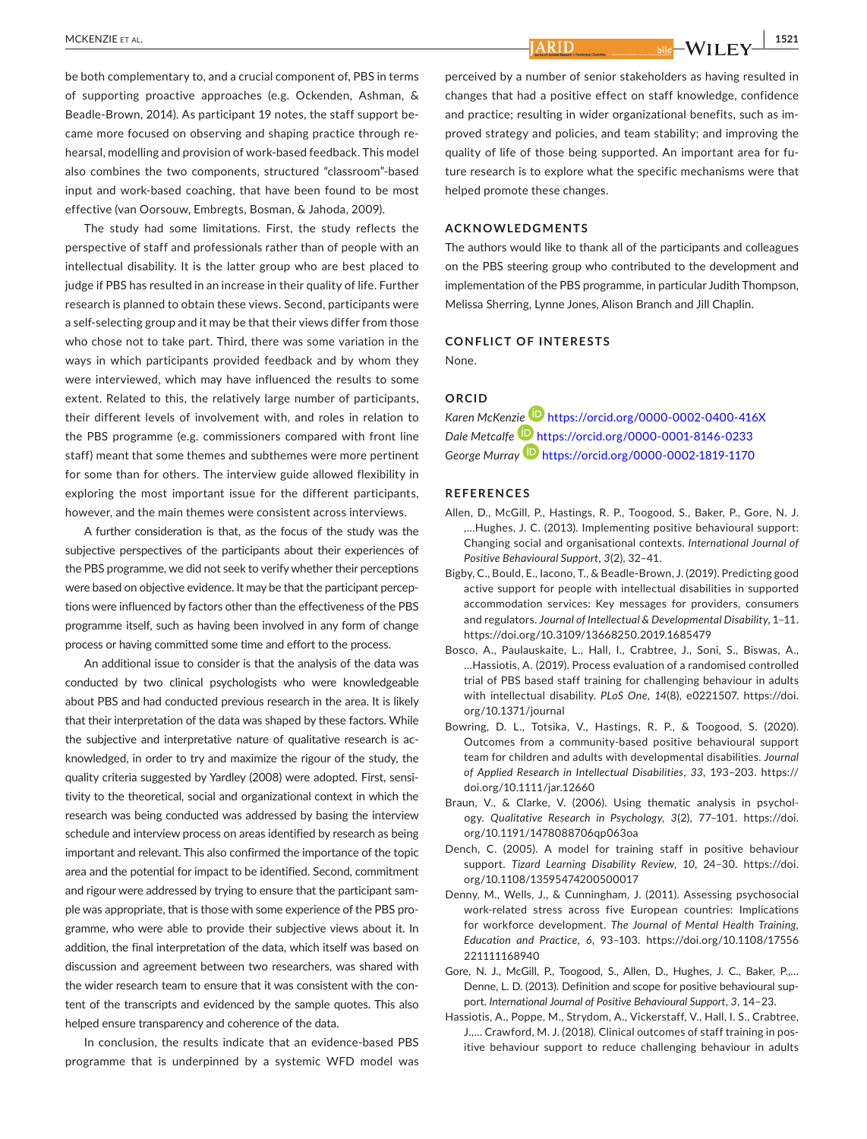be both complementary to, and a crucial component of, PBS in terms of supporting proactive approaches (e.g. Ockenden, Ashman, & Beadle-Brown, 2014). As participant 19 notes, the staff support became more focused on observing and shaping practice through rehearsal, modelling and provision of work-based feedback. This model also combines the two components, structured "classroom"-based input and work-based coaching, that have been found to be most effective (van Oorsouw, Embregts, Bosman, & Jahoda, 2009).

The study had some limitations. First, the study reflects the perspective of staff and professionals rather than of people with an intellectual disability. It is the latter group who are best placed to judge if PBS has resulted in an increase in their quality of life. Further research is planned to obtain these views. Second, participants were a self-selecting group and it may be that their views differ from those who chose not to take part. Third, there was some variation in the ways in which participants provided feedback and by whom they were interviewed, which may have influenced the results to some extent. Related to this, the relatively large number of participants, their different levels of involvement with, and roles in relation to the PBS programme (e.g. commissioners compared with front line staff) meant that some themes and subthemes were more pertinent for some than for others. The interview guide allowed flexibility in exploring the most important issue for the different participants, however, and the main themes were consistent across interviews.

A further consideration is that, as the focus of the study was the subjective perspectives of the participants about their experiences of the PBS programme, we did not seek to verify whether their perceptions were based on objective evidence. It may be that the participant perceptions were influenced by factors other than the effectiveness of the PBS programme itself, such as having been involved in any form of change process or having committed some time and effort to the process.

An additional issue to consider is that the analysis of the data was conducted by two clinical psychologists who were knowledgeable about PBS and had conducted previous research in the area. It is likely that their interpretation of the data was shaped by these factors. While the subjective and interpretative nature of qualitative research is acknowledged, in order to try and maximize the rigour of the study, the quality criteria suggested by Yardley (2008) were adopted. First, sensitivity to the theoretical, social and organizational context in which the research was being conducted was addressed by basing the interview schedule and interview process on areas identified by research as being important and relevant. This also confirmed the importance of the topic area and the potential for impact to be identified. Second, commitment and rigour were addressed by trying to ensure that the participant sample was appropriate, that is those with some experience of the PBS programme, who were able to provide their subjective views about it. In addition, the final interpretation of the data, which itself was based on discussion and agreement between two researchers, was shared with the wider research team to ensure that it was consistent with the content of the transcripts and evidenced by the sample quotes. This also helped ensure transparency and coherence of the data.

In conclusion, the results indicate that an evidence-based PBS programme that is underpinned by a systemic WFD model was

perceived by a number of senior stakeholders as having resulted in changes that had a positive effect on staff knowledge, confidence and practice; resulting in wider organizational benefits, such as improved strategy and policies, and team stability; and improving the quality of life of those being supported. An important area for future research is to explore what the specific mechanisms were that helped promote these changes.

#### **ACKNOWLEDGMENTS**

The authors would like to thank all of the participants and colleagues on the PBS steering group who contributed to the development and implementation of the PBS programme, in particular Judith Thompson, Melissa Sherring, Lynne Jones, Alison Branch and Jill Chaplin.

#### **CONFLICT OF INTERESTS**

None.

#### **ORCID**

*Karen McKen[zie](https://orcid.org/0000-0001-8146-0233)* <https://orcid.org/0000-0002-0400-416X> *Dale Metcalfe* <https://orcid.org/0000-0001-8146-0233> *George Murray* <https://orcid.org/0000-0002-1819-1170>

#### **REFERENCES**

- Allen, D., McGill, P., Hastings, R. P., Toogood, S., Baker, P., Gore, N. J. ,…Hughes, J. C. (2013). Implementing positive behavioural support: Changing social and organisational contexts. *International Journal of Positive Behavioural Support*, *3*(2), 32–41.
- Bigby, C., Bould, E., Iacono, T., & Beadle-Brown, J. (2019). Predicting good active support for people with intellectual disabilities in supported accommodation services: Key messages for providers, consumers and regulators. *Journal of Intellectual & Developmental Disability*, 1–11. <https://doi.org/10.3109/13668250.2019.1685479>
- Bosco, A., Paulauskaite, L., Hall, I., Crabtree, J., Soni, S., Biswas, A., …Hassiotis, A. (2019). Process evaluation of a randomised controlled trial of PBS based staff training for challenging behaviour in adults with intellectual disability. *PLoS One*, *14*(8), e0221507. [https://doi.](https://doi.org/10.1371/journal) [org/10.1371/journal](https://doi.org/10.1371/journal)
- Bowring, D. L., Totsika, V., Hastings, R. P., & Toogood, S. (2020). Outcomes from a community-based positive behavioural support team for children and adults with developmental disabilities. *Journal of Applied Research in Intellectual Disabilities*, *33*, 193–203. [https://](https://doi.org/10.1111/jar.12660) [doi.org/10.1111/jar.12660](https://doi.org/10.1111/jar.12660)
- Braun, V., & Clarke, V. (2006). Using thematic analysis in psychology. *Qualitative Research in Psychology*, *3*(2), 77–101. [https://doi.](https://doi.org/10.1191/1478088706qp063oa) [org/10.1191/1478088706qp063oa](https://doi.org/10.1191/1478088706qp063oa)
- Dench, C. (2005). A model for training staff in positive behaviour support. *Tizard Learning Disability Review*, *10*, 24–30. [https://doi.](https://doi.org/10.1108/13595474200500017) [org/10.1108/13595474200500017](https://doi.org/10.1108/13595474200500017)
- Denny, M., Wells, J., & Cunningham, J. (2011). Assessing psychosocial work-related stress across five European countries: Implications for workforce development. *The Journal of Mental Health Training, Education and Practice*, *6*, 93–103. [https://doi.org/10.1108/17556](https://doi.org/10.1108/17556221111168940) [221111168940](https://doi.org/10.1108/17556221111168940)
- Gore, N. J., McGill, P., Toogood, S., Allen, D., Hughes, J. C., Baker, P.,… Denne, L. D. (2013). Definition and scope for positive behavioural support. *International Journal of Positive Behavioural Support*, *3*, 14–23.
- Hassiotis, A., Poppe, M., Strydom, A., Vickerstaff, V., Hall, I. S., Crabtree, J.,… Crawford, M. J. (2018). Clinical outcomes of staff training in positive behaviour support to reduce challenging behaviour in adults